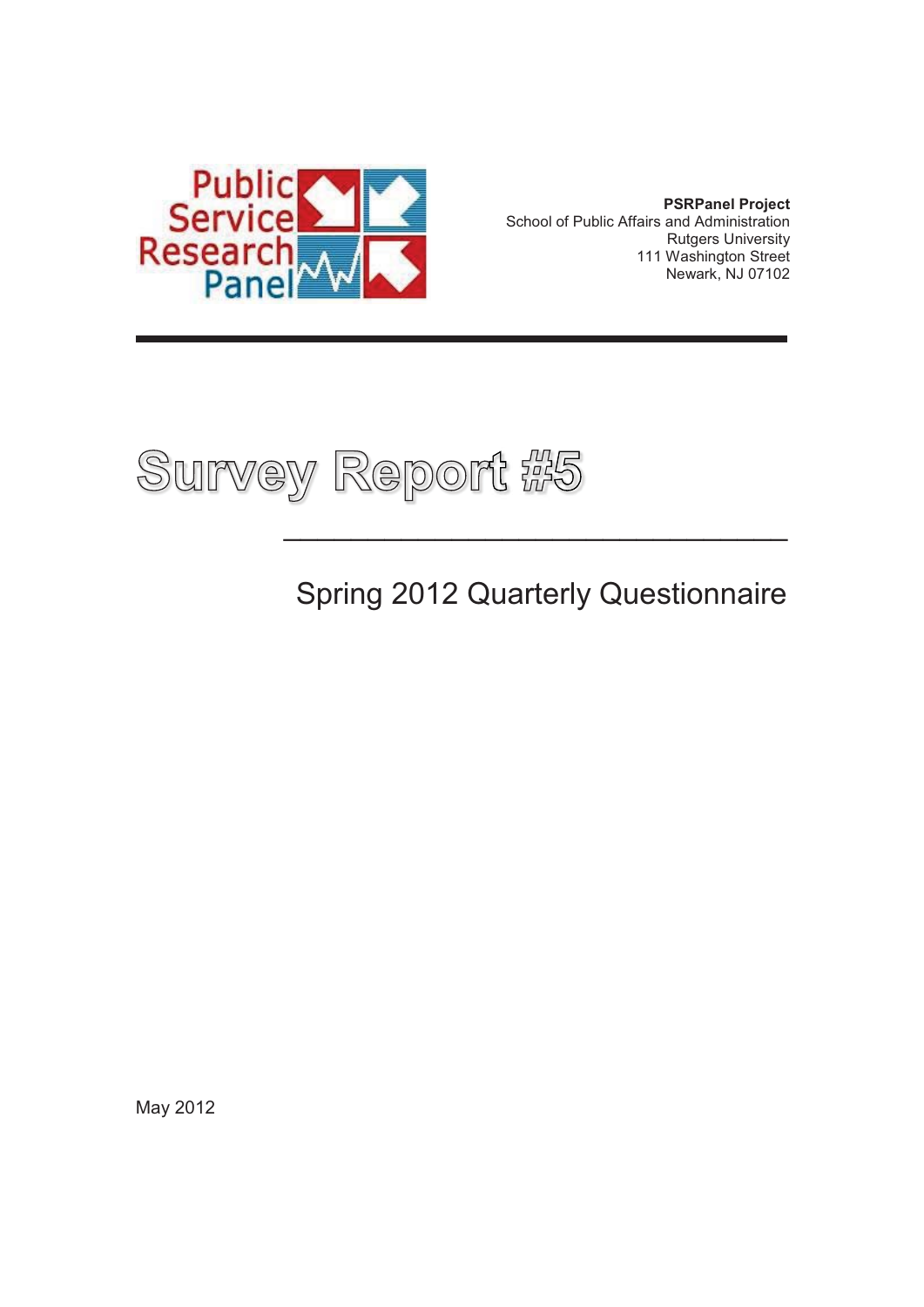

**PSRPanel Project**  School of Public Affairs and Administration Rutgers University 111 Washington Street Newark, NJ 07102



Spring 2012 Quarterly Questionnaire

 $\overline{\phantom{a}}$  , and the contract of the contract of the contract of the contract of the contract of the contract of the contract of the contract of the contract of the contract of the contract of the contract of the contrac

May 2012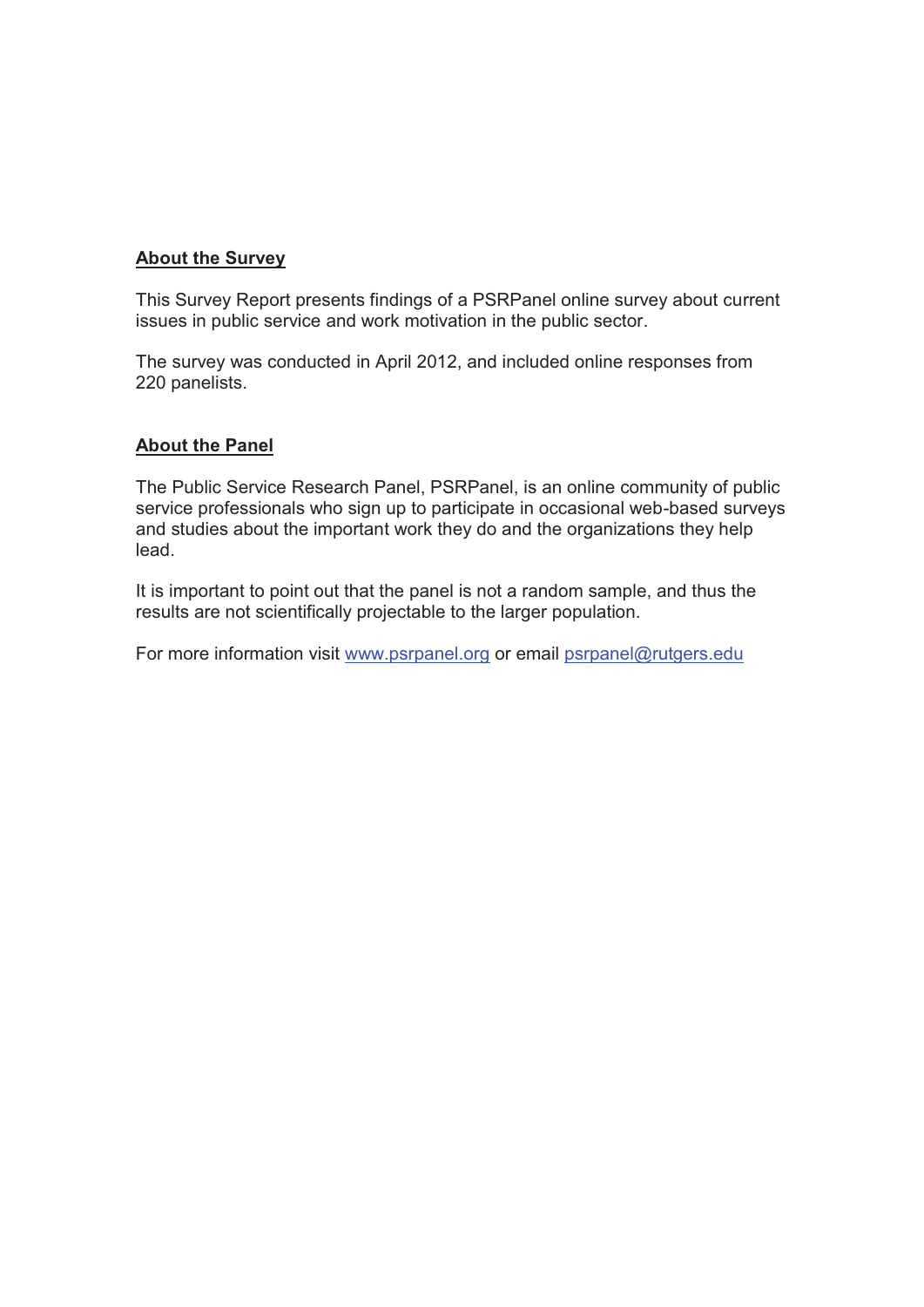#### **About the Survey**

This Survey Report presents findings of a PSRPanel online survey about current issues in public service and work motivation in the public sector.

The survey was conducted in April 2012, and included online responses from 220 panelists.

#### **About the Panel**

The Public Service Research Panel, PSRPanel, is an online community of public service professionals who sign up to participate in occasional web-based surveys and studies about the important work they do and the organizations they help lead.

It is important to point out that the panel is not a random sample, and thus the results are not scientifically projectable to the larger population.

For more information visit www.psrpanel.org or email psrpanel@rutgers.edu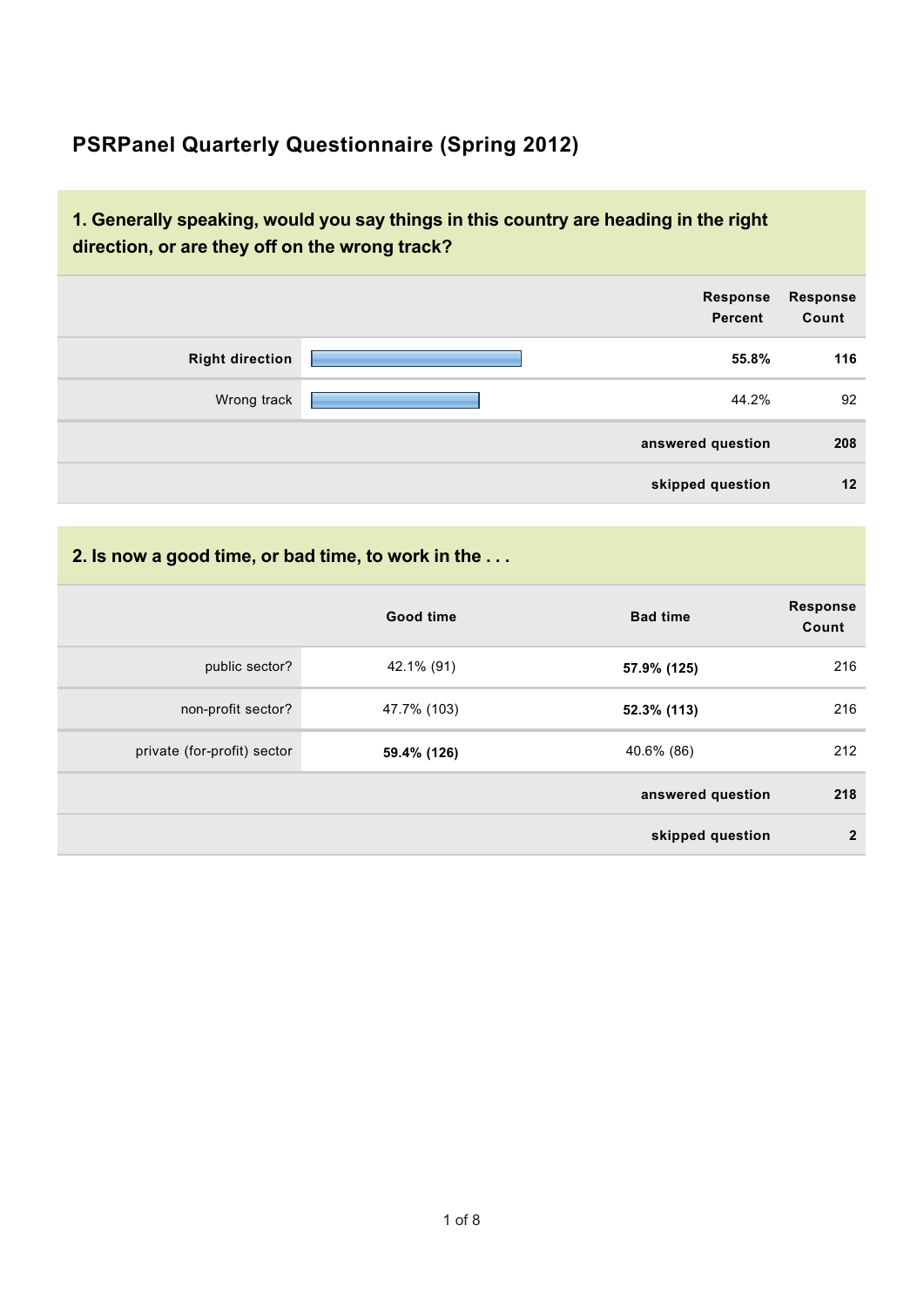## **PSRPanel Quarterly Questionnaire (Spring 2012)**

#### **1. Generally speaking, would you say things in this country are heading in the right direction, or are they off on the wrong track?**

|                        | <b>Response</b><br>Percent | Response<br>Count |
|------------------------|----------------------------|-------------------|
| <b>Right direction</b> | 55.8%                      | 116               |
| Wrong track            | 44.2%                      | 92                |
|                        | answered question          | 208               |
|                        | skipped question           | 12                |

#### **2. Is now a good time, or bad time, to work in the . . .**

|                             | Good time   | <b>Bad time</b>   | <b>Response</b><br>Count |
|-----------------------------|-------------|-------------------|--------------------------|
| public sector?              | 42.1% (91)  | 57.9% (125)       | 216                      |
| non-profit sector?          | 47.7% (103) | 52.3% (113)       | 216                      |
| private (for-profit) sector | 59.4% (126) | 40.6% (86)        | 212                      |
|                             |             | answered question | 218                      |
|                             |             | skipped question  | $\overline{2}$           |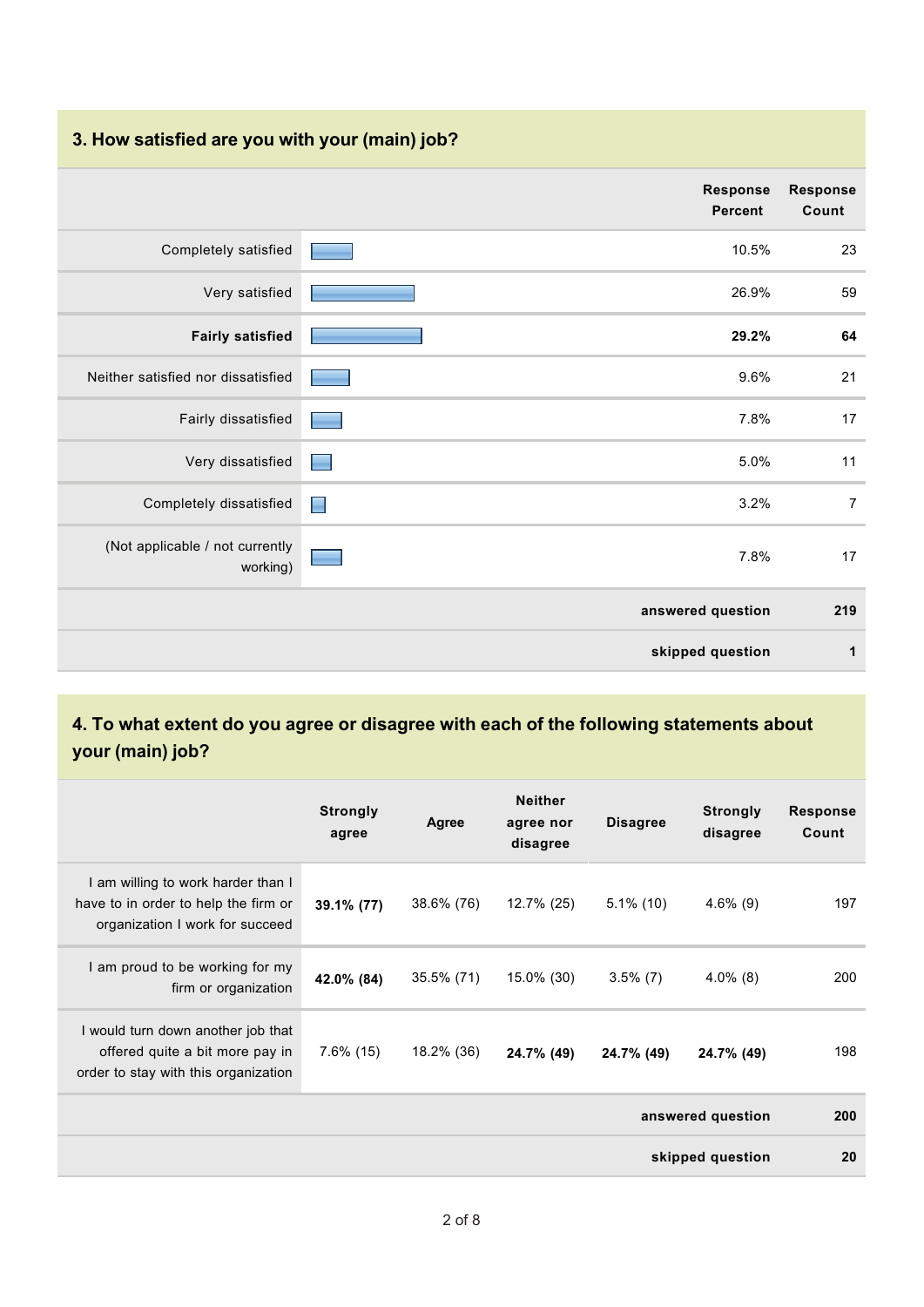#### **3. How satisfied are you with your (main) job?**

|                                             | Response<br><b>Percent</b>       | <b>Response</b><br>Count |
|---------------------------------------------|----------------------------------|--------------------------|
| Completely satisfied                        | 10.5%                            | 23                       |
| Very satisfied                              | 26.9%                            | 59                       |
| <b>Fairly satisfied</b>                     | 29.2%                            | 64                       |
| Neither satisfied nor dissatisfied          | 9.6%                             | 21                       |
| Fairly dissatisfied                         | 7.8%                             | 17                       |
| Very dissatisfied                           | 5.0%                             | 11                       |
| Completely dissatisfied                     | 3.2%<br>$\overline{\phantom{a}}$ | $\overline{7}$           |
| (Not applicable / not currently<br>working) | 7.8%<br>٠                        | 17                       |
|                                             | answered question                | 219                      |
|                                             | skipped question                 | 1                        |

### **4. To what extent do you agree or disagree with each of the following statements about your (main) job?**

|                                                                                                               | <b>Strongly</b><br>agree | Agree      | <b>Neither</b><br>agree nor<br>disagree | <b>Disagree</b> | <b>Strongly</b><br>disagree | <b>Response</b><br>Count |
|---------------------------------------------------------------------------------------------------------------|--------------------------|------------|-----------------------------------------|-----------------|-----------------------------|--------------------------|
| I am willing to work harder than I<br>have to in order to help the firm or<br>organization I work for succeed | 39.1% (77)               | 38.6% (76) | 12.7% (25)                              | $5.1\%$ (10)    | $4.6\%$ (9)                 | 197                      |
| I am proud to be working for my<br>firm or organization                                                       | 42.0% (84)               | 35.5% (71) | 15.0% (30)                              | $3.5\%$ (7)     | $4.0\%$ (8)                 | 200                      |
| I would turn down another job that<br>offered quite a bit more pay in<br>order to stay with this organization | $7.6\%$ (15)             | 18.2% (36) | 24.7% (49)                              | 24.7% (49)      | 24.7% (49)                  | 198                      |
|                                                                                                               |                          |            |                                         |                 | answered question           | <b>200</b>               |
|                                                                                                               |                          |            |                                         |                 | skipped question            | 20                       |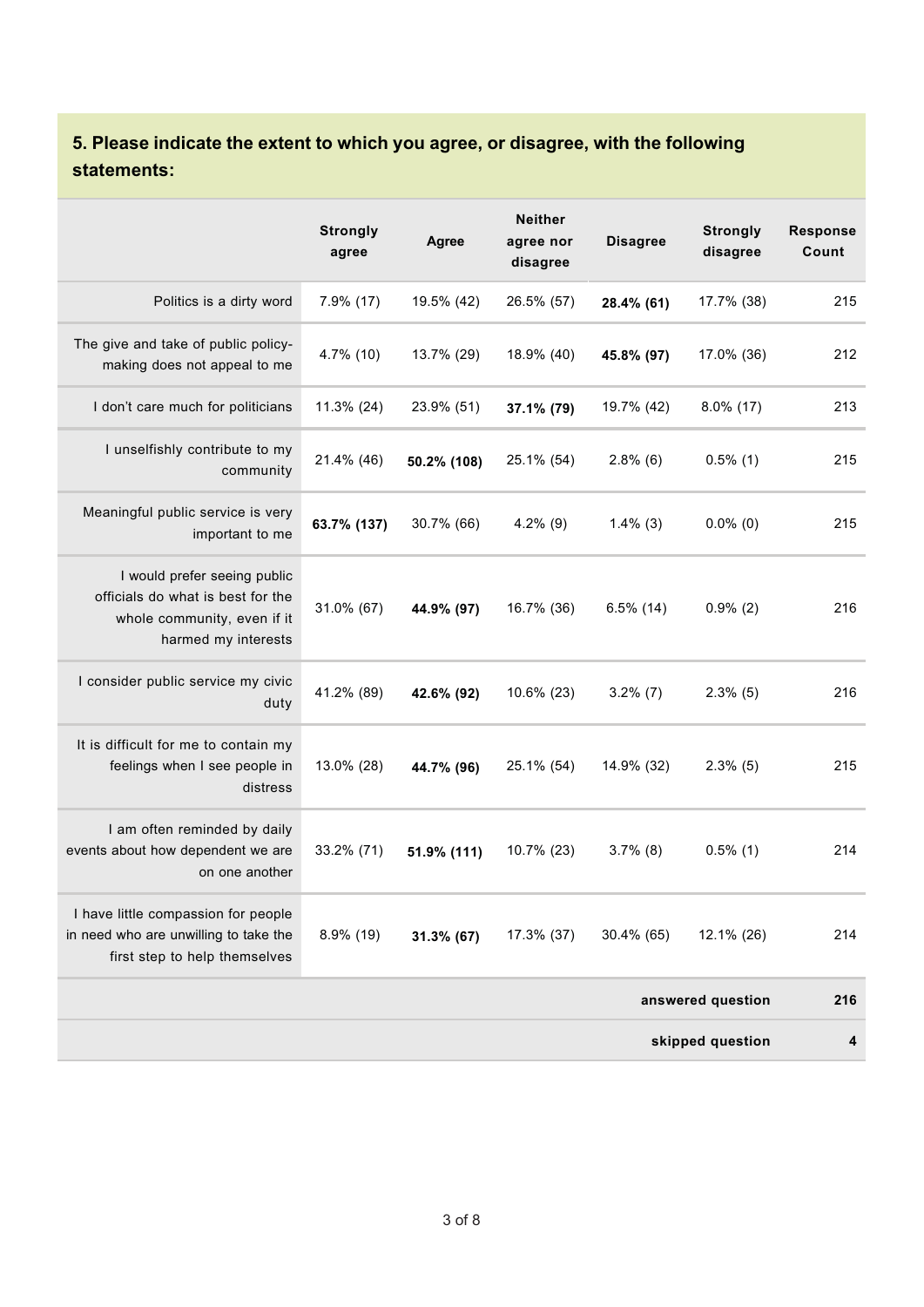## **5. Please indicate the extent to which you agree, or disagree, with the following statements:**

|                                                                                                                         | <b>Strongly</b><br>agree | <b>Agree</b> | <b>Neither</b><br>agree nor<br>disagree | <b>Disagree</b> | <b>Strongly</b><br>disagree | <b>Response</b><br>Count |
|-------------------------------------------------------------------------------------------------------------------------|--------------------------|--------------|-----------------------------------------|-----------------|-----------------------------|--------------------------|
| Politics is a dirty word                                                                                                | 7.9% (17)                | 19.5% (42)   | 26.5% (57)                              | 28.4% (61)      | 17.7% (38)                  | 215                      |
| The give and take of public policy-<br>making does not appeal to me                                                     | 4.7% (10)                | 13.7% (29)   | 18.9% (40)                              | 45.8% (97)      | 17.0% (36)                  | 212                      |
| I don't care much for politicians                                                                                       | 11.3% (24)               | 23.9% (51)   | 37.1% (79)                              | 19.7% (42)      | $8.0\%$ (17)                | 213                      |
| I unselfishly contribute to my<br>community                                                                             | 21.4% (46)               | 50.2% (108)  | 25.1% (54)                              | $2.8\%$ (6)     | $0.5\%$ (1)                 | 215                      |
| Meaningful public service is very<br>important to me                                                                    | 63.7% (137)              | 30.7% (66)   | $4.2\%$ (9)                             | $1.4\%$ (3)     | $0.0\%$ (0)                 | 215                      |
| I would prefer seeing public<br>officials do what is best for the<br>whole community, even if it<br>harmed my interests | 31.0% (67)               | 44.9% (97)   | 16.7% (36)                              | $6.5\%$ (14)    | $0.9\%$ (2)                 | 216                      |
| I consider public service my civic<br>duty                                                                              | 41.2% (89)               | 42.6% (92)   | 10.6% (23)                              | $3.2\%$ (7)     | $2.3\%$ (5)                 | 216                      |
| It is difficult for me to contain my<br>feelings when I see people in<br>distress                                       | 13.0% (28)               | 44.7% (96)   | 25.1% (54)                              | 14.9% (32)      | $2.3\%$ (5)                 | 215                      |
| I am often reminded by daily<br>events about how dependent we are<br>on one another                                     | 33.2% (71)               | 51.9% (111)  | 10.7% (23)                              | $3.7\%$ (8)     | $0.5\%$ (1)                 | 214                      |
| I have little compassion for people<br>in need who are unwilling to take the<br>first step to help themselves           | 8.9% (19)                | 31.3% (67)   | 17.3% (37)                              | 30.4% (65)      | 12.1% (26)                  | 214                      |
|                                                                                                                         |                          |              |                                         |                 | answered question           | 216                      |
|                                                                                                                         |                          |              |                                         |                 | skipped question            | 4                        |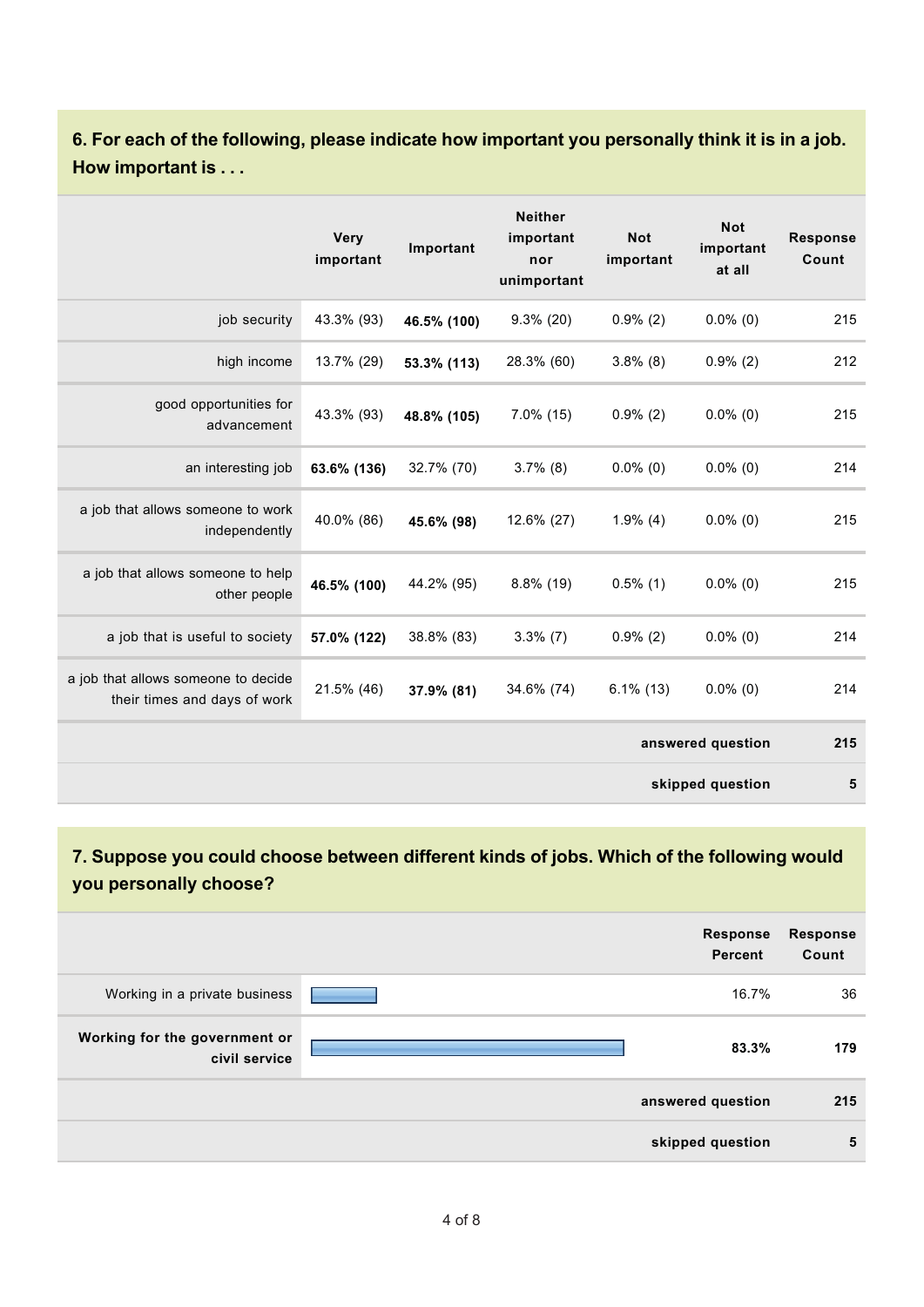**6. For each of the following, please indicate how important you personally think it is in a job. How important is . . .**

|                                                                     | <b>Very</b><br>important | Important   | <b>Neither</b><br>important<br>nor<br>unimportant | <b>Not</b><br>important | <b>Not</b><br>important<br>at all | <b>Response</b><br>Count |
|---------------------------------------------------------------------|--------------------------|-------------|---------------------------------------------------|-------------------------|-----------------------------------|--------------------------|
| job security                                                        | 43.3% (93)               | 46.5% (100) | $9.3\%$ (20)                                      | $0.9\%$ (2)             | $0.0\%$ (0)                       | 215                      |
| high income                                                         | 13.7% (29)               | 53.3% (113) | 28.3% (60)                                        | $3.8\%$ (8)             | $0.9\%$ (2)                       | 212                      |
| good opportunities for<br>advancement                               | 43.3% (93)               | 48.8% (105) | $7.0\%$ (15)                                      | $0.9\%$ (2)             | $0.0\%$ (0)                       | 215                      |
| an interesting job                                                  | 63.6% (136)              | 32.7% (70)  | $3.7\%$ (8)                                       | $0.0\%$ (0)             | $0.0\%$ (0)                       | 214                      |
| a job that allows someone to work<br>independently                  | 40.0% (86)               | 45.6% (98)  | 12.6% (27)                                        | $1.9\%$ (4)             | $0.0\%$ (0)                       | 215                      |
| a job that allows someone to help<br>other people                   | 46.5% (100)              | 44.2% (95)  | 8.8% (19)                                         | $0.5\%$ (1)             | $0.0\%$ (0)                       | 215                      |
| a job that is useful to society                                     | 57.0% (122)              | 38.8% (83)  | $3.3\%$ (7)                                       | $0.9\%$ (2)             | $0.0\%$ (0)                       | 214                      |
| a job that allows someone to decide<br>their times and days of work | 21.5% (46)               | 37.9% (81)  | 34.6% (74)                                        | $6.1\%$ (13)            | $0.0\%$ (0)                       | 214                      |
|                                                                     |                          |             |                                                   |                         | answered question                 | 215                      |
|                                                                     |                          |             |                                                   |                         | skipped question                  | 5                        |

#### **7. Suppose you could choose between different kinds of jobs. Which of the following would you personally choose?**

|                                                | <b>Response</b><br><b>Percent</b> | <b>Response</b><br>Count |
|------------------------------------------------|-----------------------------------|--------------------------|
| Working in a private business                  | 16.7%                             | 36                       |
| Working for the government or<br>civil service | 83.3%                             | 179                      |
|                                                | answered question                 | 215                      |
|                                                | skipped question                  | 5                        |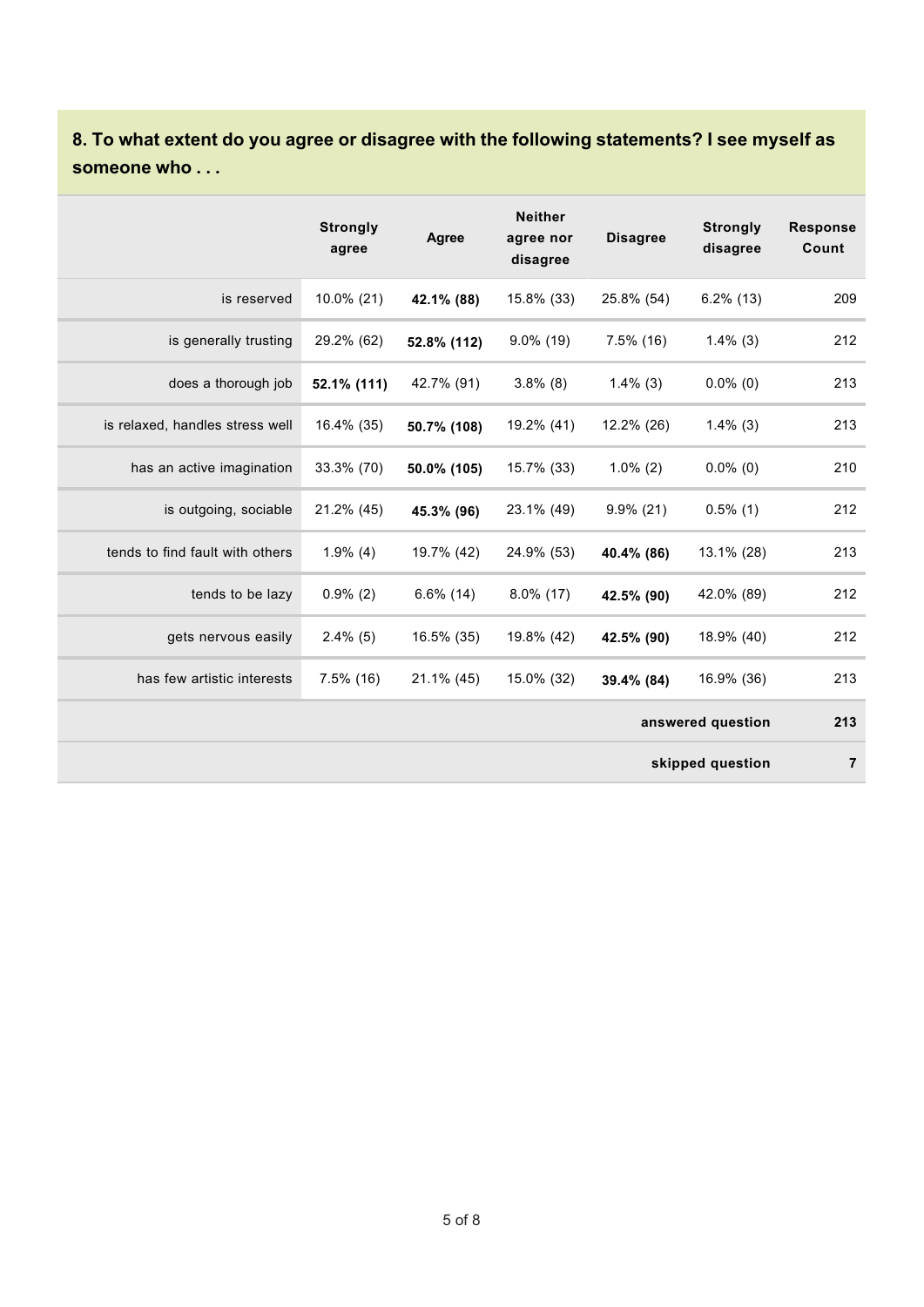### **8. To what extent do you agree or disagree with the following statements? I see myself as someone who . . .**

|                                 | <b>Strongly</b><br>agree | Agree        | <b>Neither</b><br>agree nor<br>disagree | <b>Disagree</b> | <b>Strongly</b><br>disagree | <b>Response</b><br>Count |
|---------------------------------|--------------------------|--------------|-----------------------------------------|-----------------|-----------------------------|--------------------------|
| is reserved                     | 10.0% (21)               | 42.1% (88)   | 15.8% (33)                              | 25.8% (54)      | $6.2\%$ (13)                | 209                      |
| is generally trusting           | 29.2% (62)               | 52.8% (112)  | $9.0\%$ (19)                            | $7.5\%$ (16)    | $1.4\%$ (3)                 | 212                      |
| does a thorough job             | 52.1% (111)              | 42.7% (91)   | $3.8\%$ (8)                             | $1.4\%$ (3)     | $0.0\%$ (0)                 | 213                      |
| is relaxed, handles stress well | 16.4% (35)               | 50.7% (108)  | 19.2% (41)                              | 12.2% (26)      | $1.4\%$ (3)                 | 213                      |
| has an active imagination       | 33.3% (70)               | 50.0% (105)  | 15.7% (33)                              | $1.0\%$ (2)     | $0.0\%$ (0)                 | 210                      |
| is outgoing, sociable           | 21.2% (45)               | 45.3% (96)   | 23.1% (49)                              | $9.9\%$ (21)    | $0.5\%$ (1)                 | 212                      |
| tends to find fault with others | $1.9\%$ (4)              | 19.7% (42)   | 24.9% (53)                              | 40.4% (86)      | 13.1% (28)                  | 213                      |
| tends to be lazy                | $0.9\%$ (2)              | $6.6\%$ (14) | $8.0\%$ (17)                            | 42.5% (90)      | 42.0% (89)                  | 212                      |
| gets nervous easily             | $2.4\%$ (5)              | 16.5% (35)   | 19.8% (42)                              | 42.5% (90)      | 18.9% (40)                  | 212                      |
| has few artistic interests      | $7.5\%$ (16)             | 21.1% (45)   | 15.0% (32)                              | 39.4% (84)      | 16.9% (36)                  | 213                      |
|                                 |                          |              |                                         |                 | answered question           | 213                      |
|                                 |                          |              |                                         |                 | skipped question            | 7                        |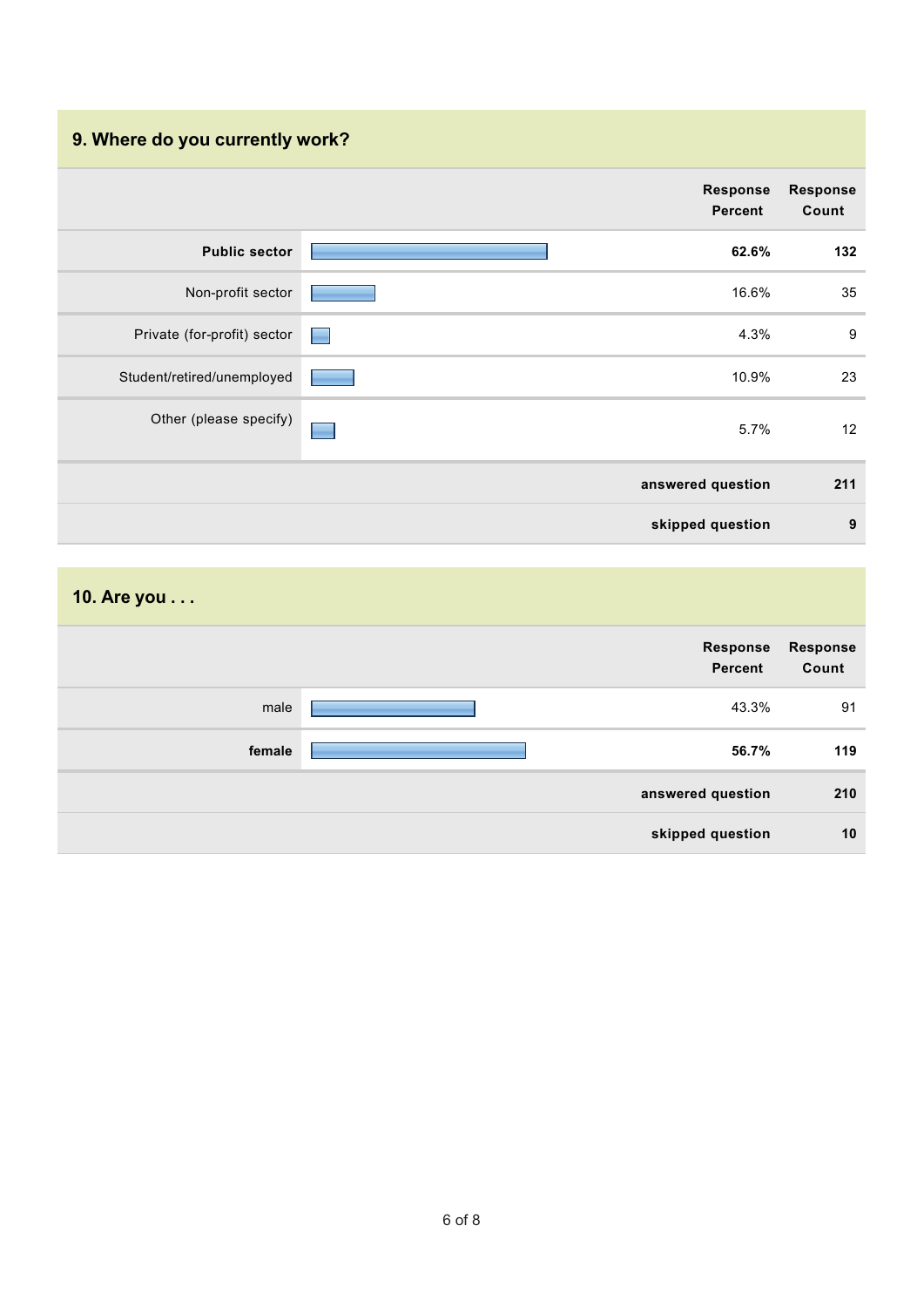## **9. Where do you currently work?**

|                             | <b>Response</b><br><b>Percent</b> | <b>Response</b><br>Count |
|-----------------------------|-----------------------------------|--------------------------|
| <b>Public sector</b>        | 62.6%                             | 132                      |
| Non-profit sector           | 16.6%                             | 35                       |
| Private (for-profit) sector | 4.3%<br>٠                         | $\boldsymbol{9}$         |
| Student/retired/unemployed  | 10.9%                             | 23                       |
| Other (please specify)      | 5.7%<br>÷                         | 12                       |
|                             | answered question                 | 211                      |
|                             | skipped question                  | 9                        |

| 10. Are you |                     |                   |
|-------------|---------------------|-------------------|
|             | Response<br>Percent | Response<br>Count |
| male        | 43.3%               | 91                |
| female      | 56.7%               | 119               |
|             | answered question   | 210               |
|             | skipped question    | 10                |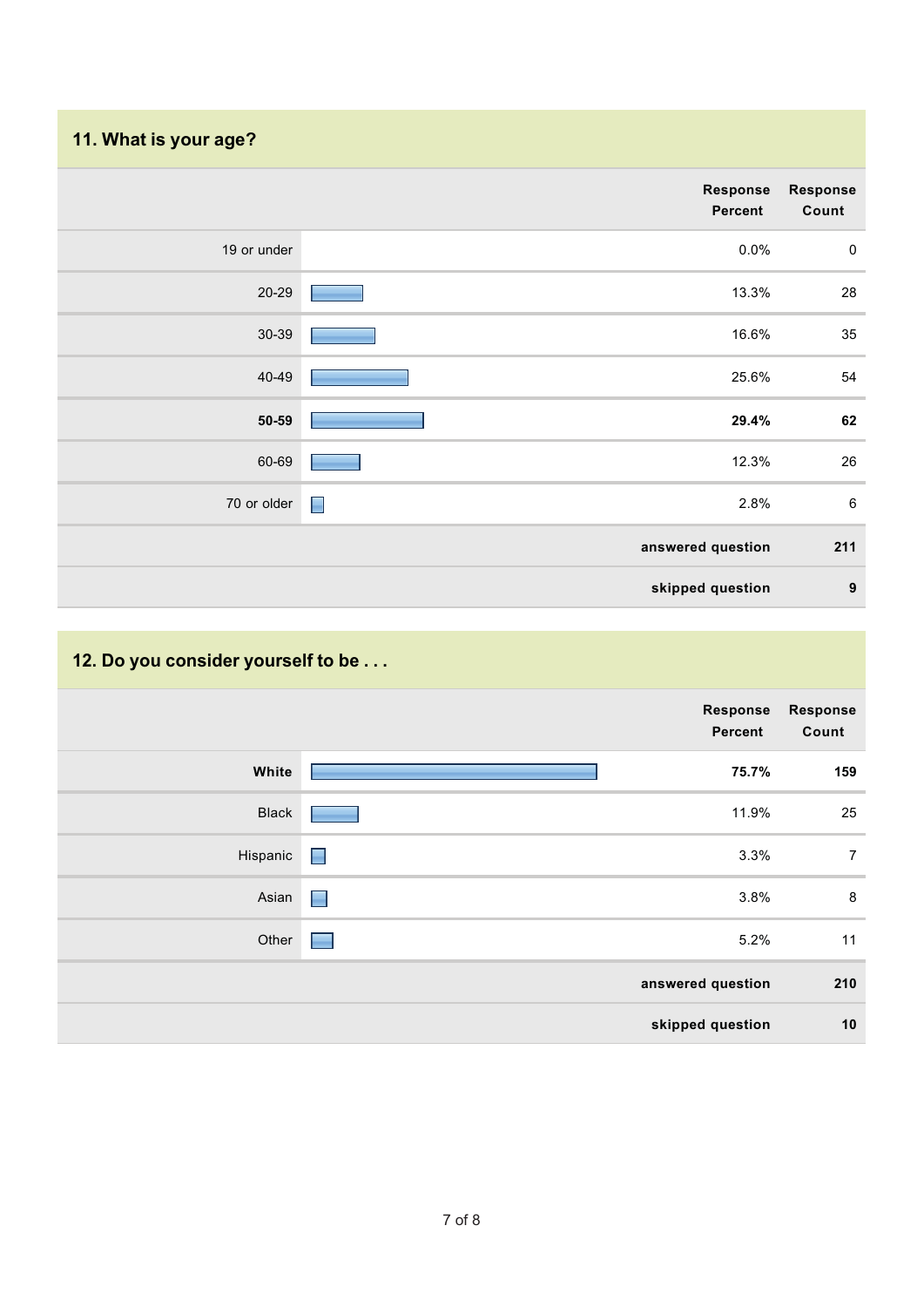## **11. What is your age?**

|             | Response<br>Percent | <b>Response</b><br>Count |
|-------------|---------------------|--------------------------|
| 19 or under | 0.0%                | $\mathbf 0$              |
| $20 - 29$   | 13.3%               | 28                       |
| $30 - 39$   | 16.6%               | 35                       |
| 40-49       | 25.6%               | 54                       |
| $50 - 59$   | 29.4%               | 62                       |
| 60-69       | 12.3%               | 26                       |
| 70 or older | $\Box$<br>2.8%      | $\,6\,$                  |
|             | answered question   | 211                      |
|             | skipped question    | $\boldsymbol{9}$         |

# **12. Do you consider yourself to be . . .**

|              |                 | Response<br>Percent | Response<br>Count |
|--------------|-----------------|---------------------|-------------------|
| White        |                 | 75.7%               | 159               |
| <b>Black</b> |                 | 11.9%               | 25                |
| Hispanic     | $\blacksquare$  | 3.3%                | $\overline{7}$    |
| Asian        | $\Box$          | 3.8%                | 8                 |
| Other        | <b>Contract</b> | 5.2%                | 11                |
|              |                 | answered question   | 210               |
|              |                 | skipped question    | 10                |